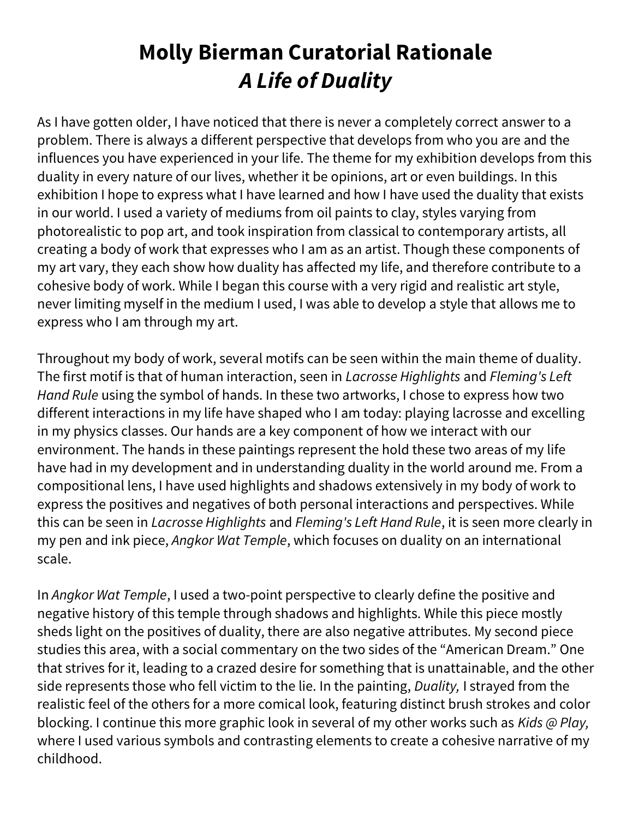# Molly Bierman Curatorial Rationale A Life of Duality

As I have gotten older, I have noticed that there is never a completely correct answer to a problem. There is always a different perspective that develops from who you are and the influences you have experienced in your life. The theme for my exhibition develops from this duality in every nature of our lives, whether it be opinions, art or even buildings. In this exhibition I hope to express what I have learned and how I have used the duality that exists in our world. I used a variety of mediums from oil paints to clay, styles varying from photorealistic to pop art, and took inspiration from classical to contemporary artists, all creating a body of work that expresses who I am as an artist. Though these components of my art vary, they each show how duality has affected my life, and therefore contribute to a cohesive body of work. While I began this course with a very rigid and realistic art style, never limiting myself in the medium I used, I was able to develop a style that allows me to express who I am through my art.

Throughout my body of work, several motifs can be seen within the main theme of duality. The first motif is that of human interaction, seen in Lacrosse Highlights and Fleming's Left Hand Rule using the symbol of hands. In these two artworks, I chose to express how two different interactions in my life have shaped who I am today: playing lacrosse and excelling in my physics classes. Our hands are a key component of how we interact with our environment. The hands in these paintings represent the hold these two areas of my life have had in my development and in understanding duality in the world around me. From a compositional lens, I have used highlights and shadows extensively in my body of work to express the positives and negatives of both personal interactions and perspectives. While this can be seen in Lacrosse Highlights and Fleming's Left Hand Rule, it is seen more clearly in my pen and ink piece, Angkor Wat Temple, which focuses on duality on an international scale.

In Angkor Wat Temple, I used a two-point perspective to clearly define the positive and negative history of this temple through shadows and highlights. While this piece mostly sheds light on the positives of duality, there are also negative attributes. My second piece studies this area, with a social commentary on the two sides of the "American Dream." One that strives for it, leading to a crazed desire for something that is unattainable, and the other side represents those who fell victim to the lie. In the painting, Duality, I strayed from the realistic feel of the others for a more comical look, featuring distinct brush strokes and color blocking. I continue this more graphic look in several of my other works such as Kids @ Play, where I used various symbols and contrasting elements to create a cohesive narrative of my childhood.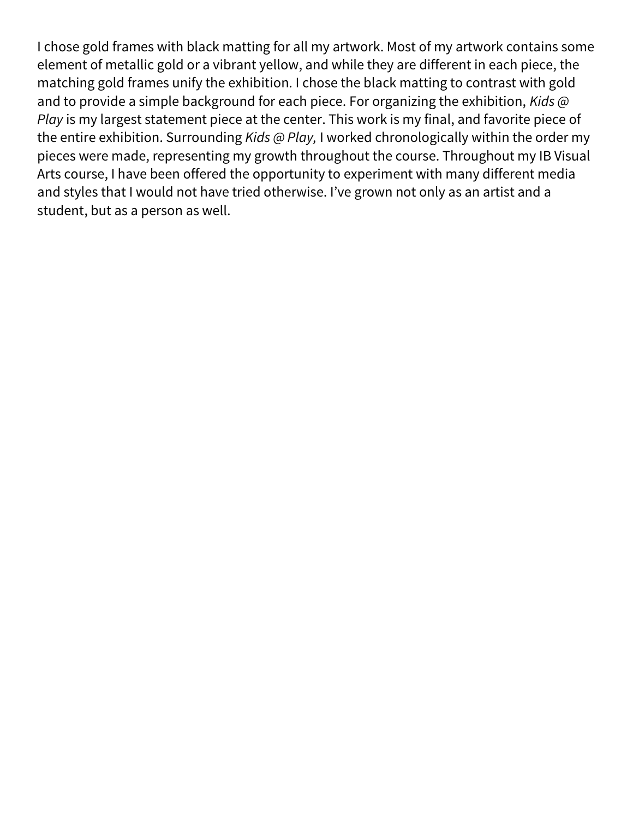I chose gold frames with black matting for all my artwork. Most of my artwork contains some element of metallic gold or a vibrant yellow, and while they are different in each piece, the matching gold frames unify the exhibition. I chose the black matting to contrast with gold and to provide a simple background for each piece. For organizing the exhibition, Kids  $\omega$ Play is my largest statement piece at the center. This work is my final, and favorite piece of the entire exhibition. Surrounding Kids @ Play, I worked chronologically within the order my pieces were made, representing my growth throughout the course. Throughout my IB Visual Arts course, I have been offered the opportunity to experiment with many different media and styles that I would not have tried otherwise. I've grown not only as an artist and a student, but as a person as well.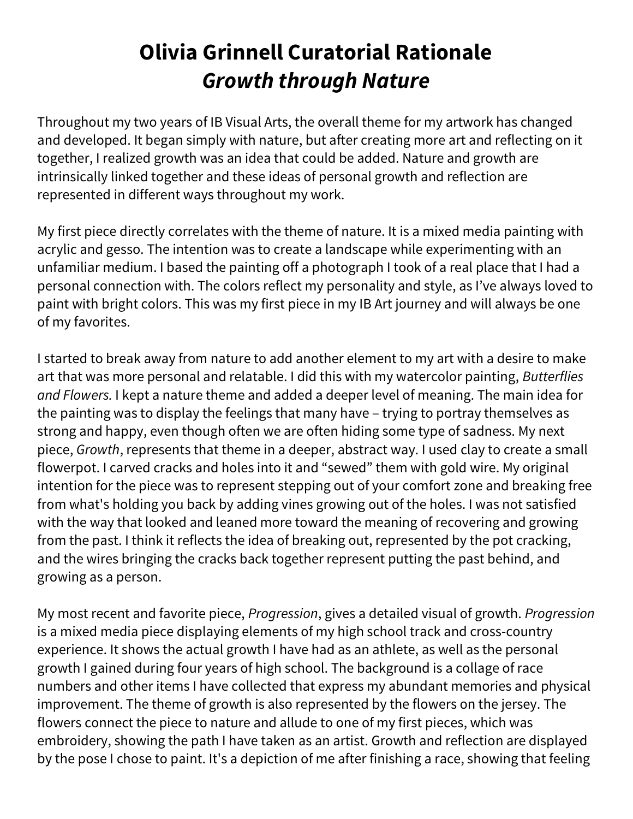### Olivia Grinnell Curatorial Rationale Growth through Nature

Throughout my two years of IB Visual Arts, the overall theme for my artwork has changed and developed. It began simply with nature, but after creating more art and reflecting on it together, I realized growth was an idea that could be added. Nature and growth are intrinsically linked together and these ideas of personal growth and reflection are represented in different ways throughout my work.

My first piece directly correlates with the theme of nature. It is a mixed media painting with acrylic and gesso. The intention was to create a landscape while experimenting with an unfamiliar medium. I based the painting off a photograph I took of a real place that I had a personal connection with. The colors reflect my personality and style, as I've always loved to paint with bright colors. This was my first piece in my IB Art journey and will always be one of my favorites.

I started to break away from nature to add another element to my art with a desire to make art that was more personal and relatable. I did this with my watercolor painting, Butterflies and Flowers. I kept a nature theme and added a deeper level of meaning. The main idea for the painting was to display the feelings that many have – trying to portray themselves as strong and happy, even though often we are often hiding some type of sadness. My next piece, Growth, represents that theme in a deeper, abstract way. I used clay to create a small flowerpot. I carved cracks and holes into it and "sewed" them with gold wire. My original intention for the piece was to represent stepping out of your comfort zone and breaking free from what's holding you back by adding vines growing out of the holes. I was not satisfied with the way that looked and leaned more toward the meaning of recovering and growing from the past. I think it reflects the idea of breaking out, represented by the pot cracking, and the wires bringing the cracks back together represent putting the past behind, and growing as a person.

My most recent and favorite piece, Progression, gives a detailed visual of growth. Progression is a mixed media piece displaying elements of my high school track and cross-country experience. It shows the actual growth I have had as an athlete, as well as the personal growth I gained during four years of high school. The background is a collage of race numbers and other items I have collected that express my abundant memories and physical improvement. The theme of growth is also represented by the flowers on the jersey. The flowers connect the piece to nature and allude to one of my first pieces, which was embroidery, showing the path I have taken as an artist. Growth and reflection are displayed by the pose I chose to paint. It's a depiction of me after finishing a race, showing that feeling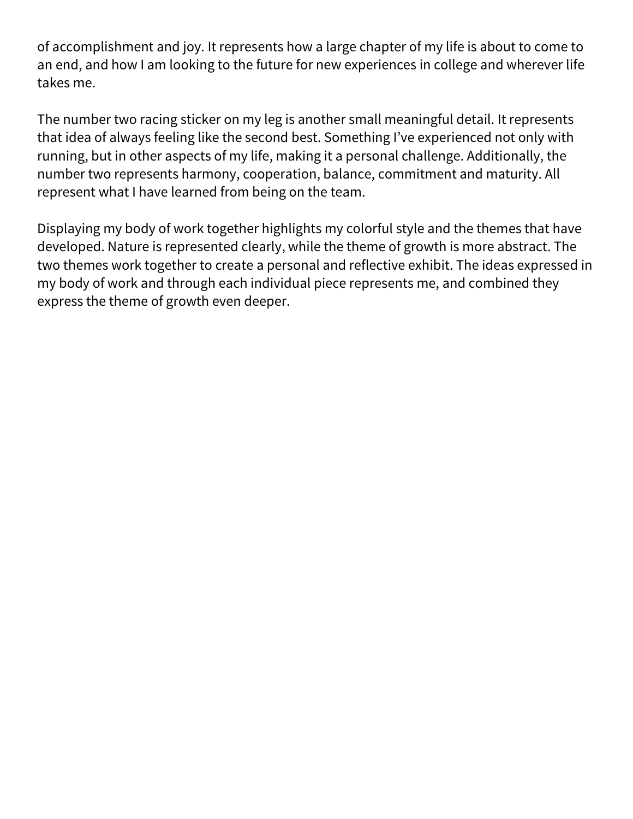of accomplishment and joy. It represents how a large chapter of my life is about to come to an end, and how I am looking to the future for new experiences in college and wherever life takes me.

The number two racing sticker on my leg is another small meaningful detail. It represents that idea of always feeling like the second best. Something I've experienced not only with running, but in other aspects of my life, making it a personal challenge. Additionally, the number two represents harmony, cooperation, balance, commitment and maturity. All represent what I have learned from being on the team.

Displaying my body of work together highlights my colorful style and the themes that have developed. Nature is represented clearly, while the theme of growth is more abstract. The two themes work together to create a personal and reflective exhibit. The ideas expressed in my body of work and through each individual piece represents me, and combined they express the theme of growth even deeper.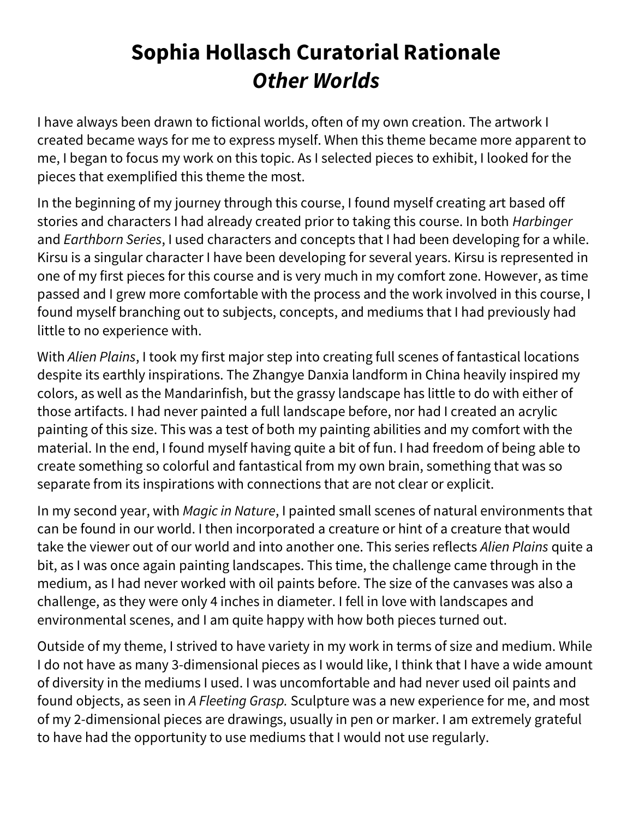## Sophia Hollasch Curatorial Rationale Other Worlds

I have always been drawn to fictional worlds, often of my own creation. The artwork I created became ways for me to express myself. When this theme became more apparent to me, I began to focus my work on this topic. As I selected pieces to exhibit, I looked for the pieces that exemplified this theme the most.

In the beginning of my journey through this course, I found myself creating art based off stories and characters I had already created prior to taking this course. In both Harbinger and *Earthborn Series*, I used characters and concepts that I had been developing for a while. Kirsu is a singular character I have been developing for several years. Kirsu is represented in one of my first pieces for this course and is very much in my comfort zone. However, as time passed and I grew more comfortable with the process and the work involved in this course, I found myself branching out to subjects, concepts, and mediums that I had previously had little to no experience with.

With Alien Plains, I took my first major step into creating full scenes of fantastical locations despite its earthly inspirations. The Zhangye Danxia landform in China heavily inspired my colors, as well as the Mandarinfish, but the grassy landscape has little to do with either of those artifacts. I had never painted a full landscape before, nor had I created an acrylic painting of this size. This was a test of both my painting abilities and my comfort with the material. In the end, I found myself having quite a bit of fun. I had freedom of being able to create something so colorful and fantastical from my own brain, something that was so separate from its inspirations with connections that are not clear or explicit.

In my second year, with Magic in Nature, I painted small scenes of natural environments that can be found in our world. I then incorporated a creature or hint of a creature that would take the viewer out of our world and into another one. This series reflects Alien Plains quite a bit, as I was once again painting landscapes. This time, the challenge came through in the medium, as I had never worked with oil paints before. The size of the canvases was also a challenge, as they were only 4 inches in diameter. I fell in love with landscapes and environmental scenes, and I am quite happy with how both pieces turned out.

Outside of my theme, I strived to have variety in my work in terms of size and medium. While I do not have as many 3-dimensional pieces as I would like, I think that I have a wide amount of diversity in the mediums I used. I was uncomfortable and had never used oil paints and found objects, as seen in A Fleeting Grasp. Sculpture was a new experience for me, and most of my 2-dimensional pieces are drawings, usually in pen or marker. I am extremely grateful to have had the opportunity to use mediums that I would not use regularly.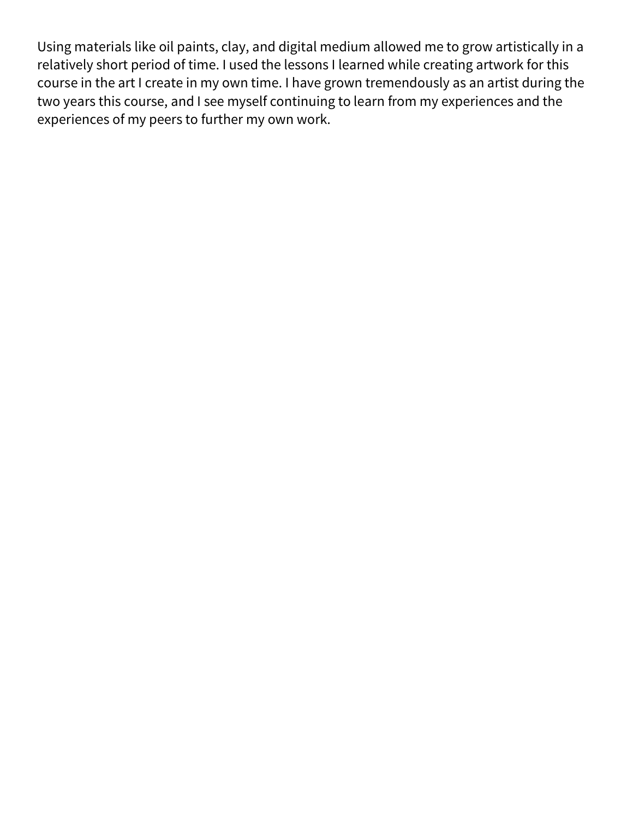Using materials like oil paints, clay, and digital medium allowed me to grow artistically in a relatively short period of time. I used the lessons I learned while creating artwork for this course in the art I create in my own time. I have grown tremendously as an artist during the two years this course, and I see myself continuing to learn from my experiences and the experiences of my peers to further my own work.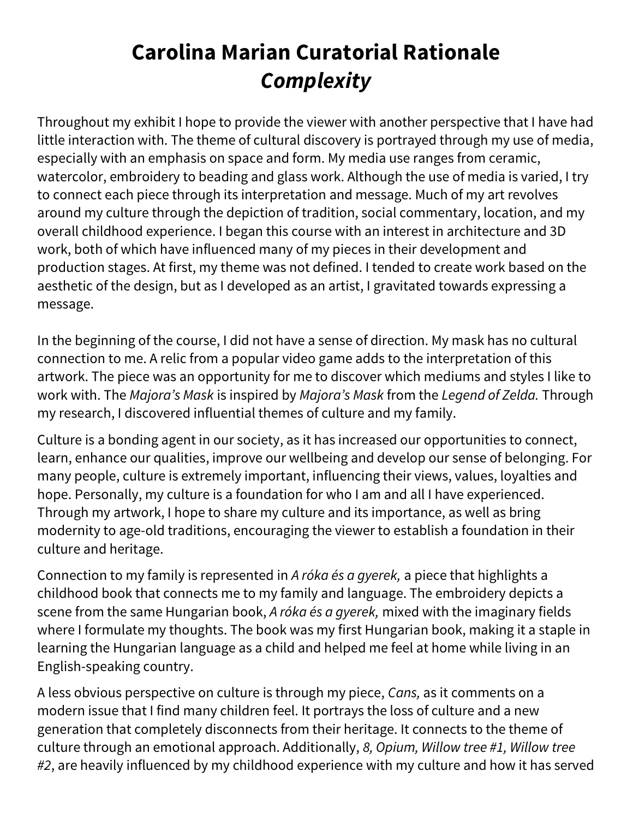# Carolina Marian Curatorial Rationale **Complexity**

Throughout my exhibit I hope to provide the viewer with another perspective that I have had little interaction with. The theme of cultural discovery is portrayed through my use of media, especially with an emphasis on space and form. My media use ranges from ceramic, watercolor, embroidery to beading and glass work. Although the use of media is varied, I try to connect each piece through its interpretation and message. Much of my art revolves around my culture through the depiction of tradition, social commentary, location, and my overall childhood experience. I began this course with an interest in architecture and 3D work, both of which have influenced many of my pieces in their development and production stages. At first, my theme was not defined. I tended to create work based on the aesthetic of the design, but as I developed as an artist, I gravitated towards expressing a message.

In the beginning of the course, I did not have a sense of direction. My mask has no cultural connection to me. A relic from a popular video game adds to the interpretation of this artwork. The piece was an opportunity for me to discover which mediums and styles I like to work with. The Majora's Mask is inspired by Majora's Mask from the Legend of Zelda. Through my research, I discovered influential themes of culture and my family.

Culture is a bonding agent in our society, as it has increased our opportunities to connect, learn, enhance our qualities, improve our wellbeing and develop our sense of belonging. For many people, culture is extremely important, influencing their views, values, loyalties and hope. Personally, my culture is a foundation for who I am and all I have experienced. Through my artwork, I hope to share my culture and its importance, as well as bring modernity to age-old traditions, encouraging the viewer to establish a foundation in their culture and heritage.

Connection to my family is represented in A róka és a gyerek, a piece that highlights a childhood book that connects me to my family and language. The embroidery depicts a scene from the same Hungarian book, A róka és a gyerek, mixed with the imaginary fields where I formulate my thoughts. The book was my first Hungarian book, making it a staple in learning the Hungarian language as a child and helped me feel at home while living in an English-speaking country.

A less obvious perspective on culture is through my piece, Cans, as it comments on a modern issue that I find many children feel. It portrays the loss of culture and a new generation that completely disconnects from their heritage. It connects to the theme of culture through an emotional approach. Additionally, 8, Opium, Willow tree #1, Willow tree #2, are heavily influenced by my childhood experience with my culture and how it has served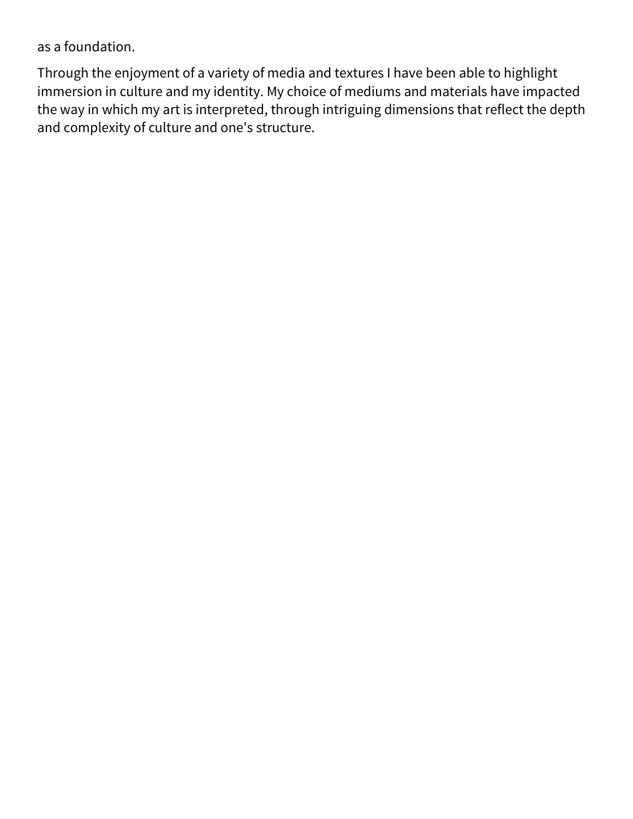as a foundation.

Through the enjoyment of a variety of media and textures I have been able to highlight immersion in culture and my identity. My choice of mediums and materials have impacted the way in which my art is interpreted, through intriguing dimensions that reflect the depth and complexity of culture and one's structure.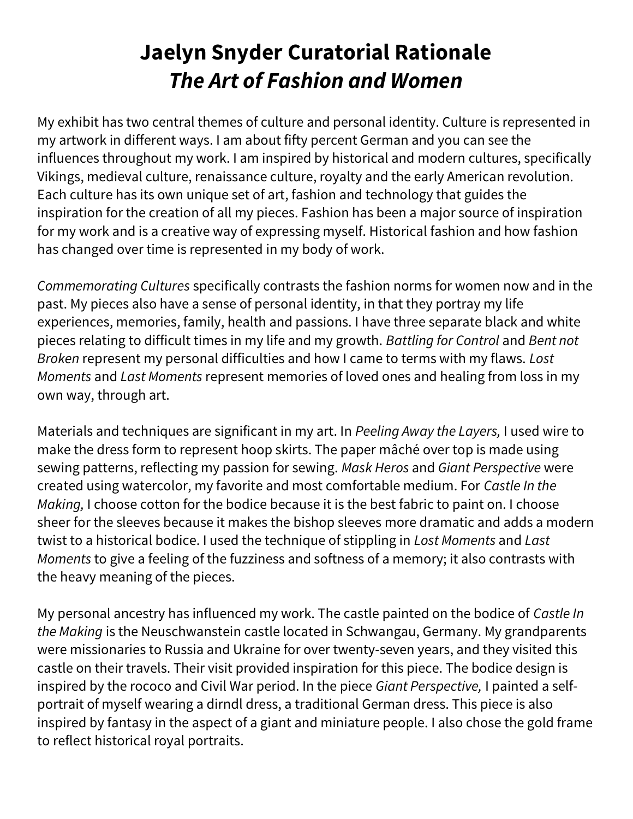#### Jaelyn Snyder Curatorial Rationale The Art of Fashion and Women

My exhibit has two central themes of culture and personal identity. Culture is represented in my artwork in different ways. I am about fifty percent German and you can see the influences throughout my work. I am inspired by historical and modern cultures, specifically Vikings, medieval culture, renaissance culture, royalty and the early American revolution. Each culture has its own unique set of art, fashion and technology that guides the inspiration for the creation of all my pieces. Fashion has been a major source of inspiration for my work and is a creative way of expressing myself. Historical fashion and how fashion has changed over time is represented in my body of work.

Commemorating Cultures specifically contrasts the fashion norms for women now and in the past. My pieces also have a sense of personal identity, in that they portray my life experiences, memories, family, health and passions. I have three separate black and white pieces relating to difficult times in my life and my growth. Battling for Control and Bent not Broken represent my personal difficulties and how I came to terms with my flaws. Lost Moments and Last Moments represent memories of loved ones and healing from loss in my own way, through art.

Materials and techniques are significant in my art. In Peeling Away the Layers, I used wire to make the dress form to represent hoop skirts. The paper mâché over top is made using sewing patterns, reflecting my passion for sewing. Mask Heros and Giant Perspective were created using watercolor, my favorite and most comfortable medium. For Castle In the Making, I choose cotton for the bodice because it is the best fabric to paint on. I choose sheer for the sleeves because it makes the bishop sleeves more dramatic and adds a modern twist to a historical bodice. I used the technique of stippling in Lost Moments and Last Moments to give a feeling of the fuzziness and softness of a memory; it also contrasts with the heavy meaning of the pieces.

My personal ancestry has influenced my work. The castle painted on the bodice of Castle In the Making is the Neuschwanstein castle located in Schwangau, Germany. My grandparents were missionaries to Russia and Ukraine for over twenty-seven years, and they visited this castle on their travels. Their visit provided inspiration for this piece. The bodice design is inspired by the rococo and Civil War period. In the piece Giant Perspective, I painted a selfportrait of myself wearing a dirndl dress, a traditional German dress. This piece is also inspired by fantasy in the aspect of a giant and miniature people. I also chose the gold frame to reflect historical royal portraits.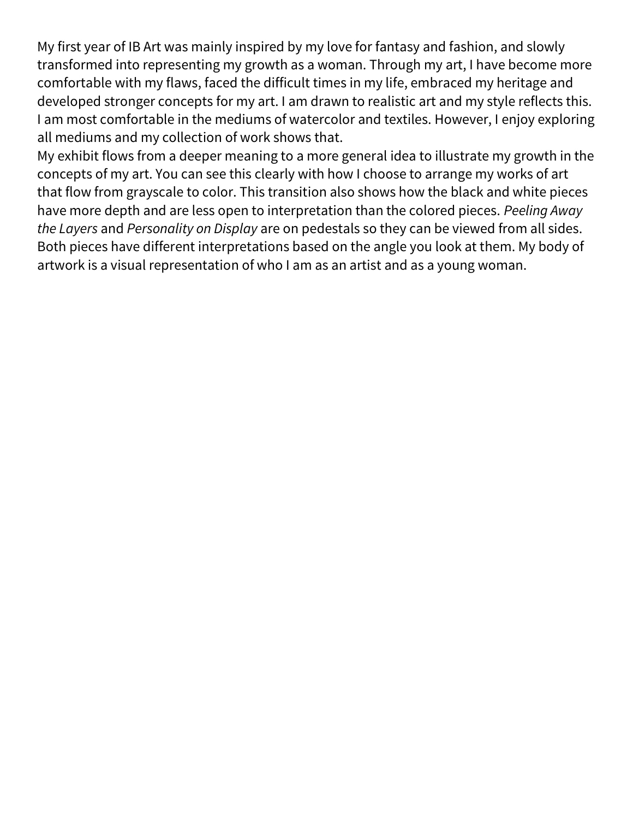My first year of IB Art was mainly inspired by my love for fantasy and fashion, and slowly transformed into representing my growth as a woman. Through my art, I have become more comfortable with my flaws, faced the difficult times in my life, embraced my heritage and developed stronger concepts for my art. I am drawn to realistic art and my style reflects this. I am most comfortable in the mediums of watercolor and textiles. However, I enjoy exploring all mediums and my collection of work shows that.

My exhibit flows from a deeper meaning to a more general idea to illustrate my growth in the concepts of my art. You can see this clearly with how I choose to arrange my works of art that flow from grayscale to color. This transition also shows how the black and white pieces have more depth and are less open to interpretation than the colored pieces. Peeling Away the Layers and Personality on Display are on pedestals so they can be viewed from all sides. Both pieces have different interpretations based on the angle you look at them. My body of artwork is a visual representation of who I am as an artist and as a young woman.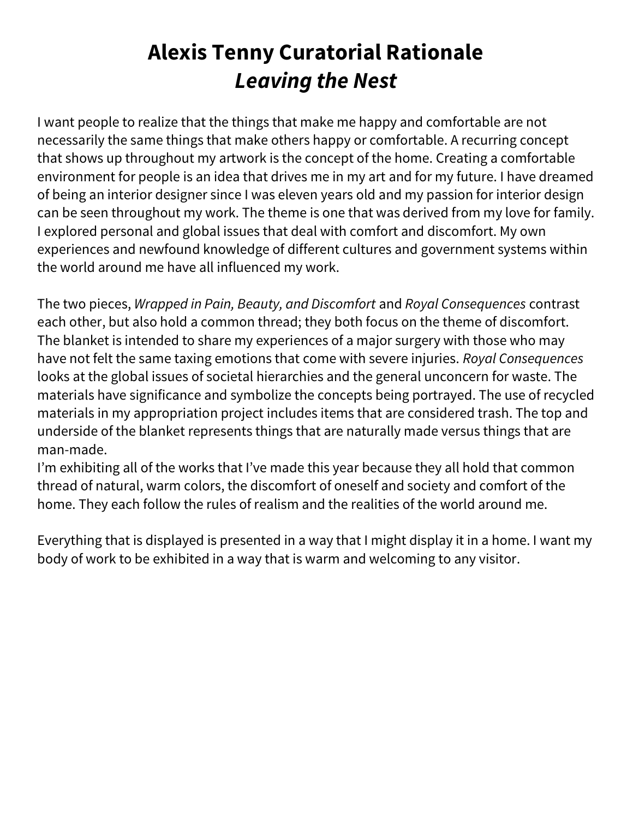# Alexis Tenny Curatorial Rationale Leaving the Nest

I want people to realize that the things that make me happy and comfortable are not necessarily the same things that make others happy or comfortable. A recurring concept that shows up throughout my artwork is the concept of the home. Creating a comfortable environment for people is an idea that drives me in my art and for my future. I have dreamed of being an interior designer since I was eleven years old and my passion for interior design can be seen throughout my work. The theme is one that was derived from my love for family. I explored personal and global issues that deal with comfort and discomfort. My own experiences and newfound knowledge of different cultures and government systems within the world around me have all influenced my work.

The two pieces, Wrapped in Pain, Beauty, and Discomfort and Royal Consequences contrast each other, but also hold a common thread; they both focus on the theme of discomfort. The blanket is intended to share my experiences of a major surgery with those who may have not felt the same taxing emotions that come with severe injuries. Royal Consequences looks at the global issues of societal hierarchies and the general unconcern for waste. The materials have significance and symbolize the concepts being portrayed. The use of recycled materials in my appropriation project includes items that are considered trash. The top and underside of the blanket represents things that are naturally made versus things that are man-made.

I'm exhibiting all of the works that I've made this year because they all hold that common thread of natural, warm colors, the discomfort of oneself and society and comfort of the home. They each follow the rules of realism and the realities of the world around me.

Everything that is displayed is presented in a way that I might display it in a home. I want my body of work to be exhibited in a way that is warm and welcoming to any visitor.